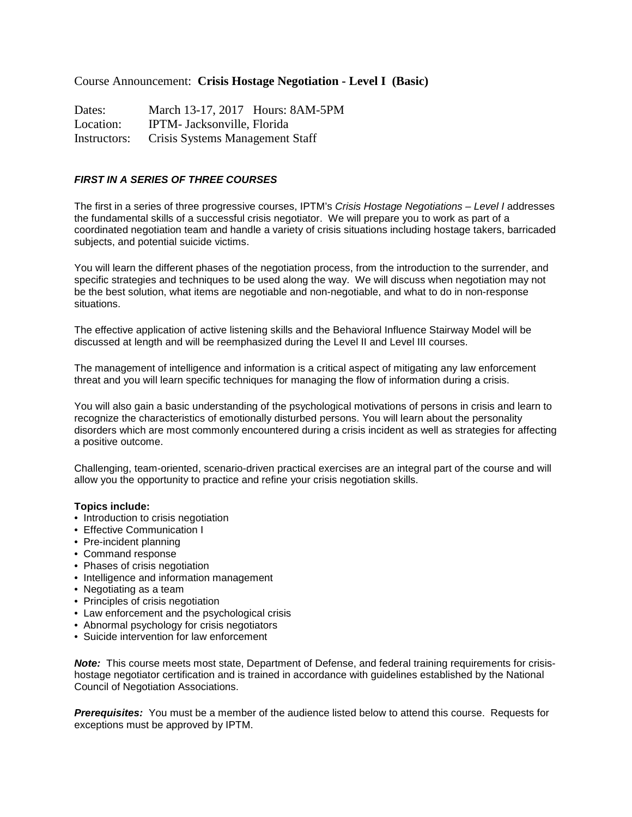## Course Announcement: **Crisis Hostage Negotiation - Level I (Basic)**

Dates: March 13-17, 2017 Hours: 8AM-5PM Location: IPTM- Jacksonville, Florida Instructors: Crisis Systems Management Staff

## **FIRST IN A SERIES OF THREE COURSES**

The first in a series of three progressive courses, IPTM's Crisis Hostage Negotiations – Level I addresses the fundamental skills of a successful crisis negotiator. We will prepare you to work as part of a coordinated negotiation team and handle a variety of crisis situations including hostage takers, barricaded subjects, and potential suicide victims.

You will learn the different phases of the negotiation process, from the introduction to the surrender, and specific strategies and techniques to be used along the way. We will discuss when negotiation may not be the best solution, what items are negotiable and non-negotiable, and what to do in non-response situations.

The effective application of active listening skills and the Behavioral Influence Stairway Model will be discussed at length and will be reemphasized during the Level II and Level III courses.

The management of intelligence and information is a critical aspect of mitigating any law enforcement threat and you will learn specific techniques for managing the flow of information during a crisis.

You will also gain a basic understanding of the psychological motivations of persons in crisis and learn to recognize the characteristics of emotionally disturbed persons. You will learn about the personality disorders which are most commonly encountered during a crisis incident as well as strategies for affecting a positive outcome.

Challenging, team-oriented, scenario-driven practical exercises are an integral part of the course and will allow you the opportunity to practice and refine your crisis negotiation skills.

## **Topics include:**

- Introduction to crisis negotiation
- Effective Communication I
- Pre-incident planning
- Command response
- Phases of crisis negotiation
- Intelligence and information management
- Negotiating as a team
- Principles of crisis negotiation
- Law enforcement and the psychological crisis
- Abnormal psychology for crisis negotiators
- Suicide intervention for law enforcement

**Note:** This course meets most state, Department of Defense, and federal training requirements for crisishostage negotiator certification and is trained in accordance with guidelines established by the National Council of Negotiation Associations.

**Prerequisites:** You must be a member of the audience listed below to attend this course. Requests for exceptions must be approved by IPTM.